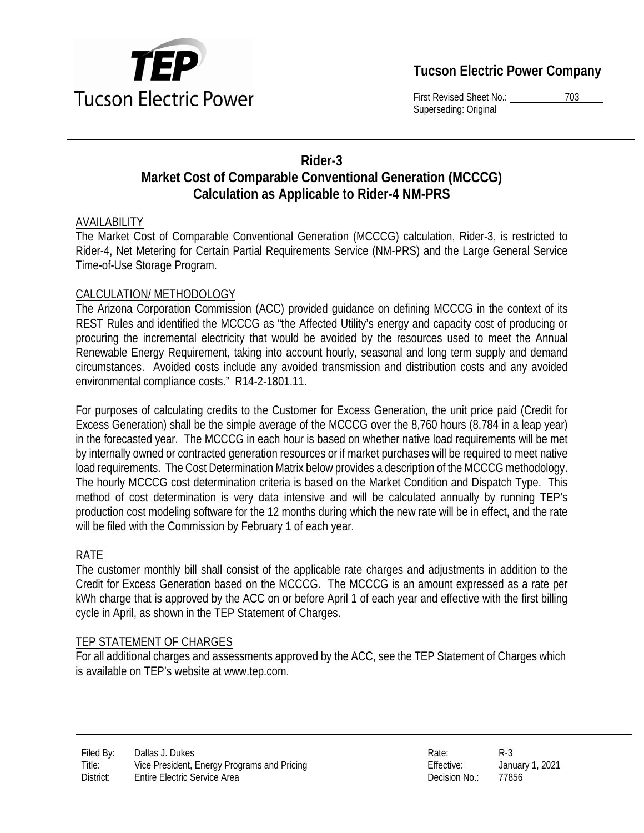

## **Tucson Electric Power Company**

First Revised Sheet No.: 703 Superseding: Original

## **Rider-3 Market Cost of Comparable Conventional Generation (MCCCG) Calculation as Applicable to Rider-4 NM-PRS**

#### AVAILABILITY

The Market Cost of Comparable Conventional Generation (MCCCG) calculation, Rider-3, is restricted to Rider-4, Net Metering for Certain Partial Requirements Service (NM-PRS) and the Large General Service Time-of-Use Storage Program.

#### CALCULATION/ METHODOLOGY

The Arizona Corporation Commission (ACC) provided guidance on defining MCCCG in the context of its REST Rules and identified the MCCCG as "the Affected Utility's energy and capacity cost of producing or procuring the incremental electricity that would be avoided by the resources used to meet the Annual Renewable Energy Requirement, taking into account hourly, seasonal and long term supply and demand circumstances. Avoided costs include any avoided transmission and distribution costs and any avoided environmental compliance costs." R14-2-1801.11.

For purposes of calculating credits to the Customer for Excess Generation, the unit price paid (Credit for Excess Generation) shall be the simple average of the MCCCG over the 8,760 hours (8,784 in a leap year) in the forecasted year. The MCCCG in each hour is based on whether native load requirements will be met by internally owned or contracted generation resources or if market purchases will be required to meet native load requirements. The Cost Determination Matrix below provides a description of the MCCCG methodology. The hourly MCCCG cost determination criteria is based on the Market Condition and Dispatch Type. This method of cost determination is very data intensive and will be calculated annually by running TEP's production cost modeling software for the 12 months during which the new rate will be in effect, and the rate will be filed with the Commission by February 1 of each year.

#### RATE

The customer monthly bill shall consist of the applicable rate charges and adjustments in addition to the Credit for Excess Generation based on the MCCCG. The MCCCG is an amount expressed as a rate per kWh charge that is approved by the ACC on or before April 1 of each year and effective with the first billing cycle in April, as shown in the TEP Statement of Charges.

#### TEP STATEMENT OF CHARGES

For all additional charges and assessments approved by the ACC, see the TEP Statement of Charges which is available on TEP's website at www.tep.com.